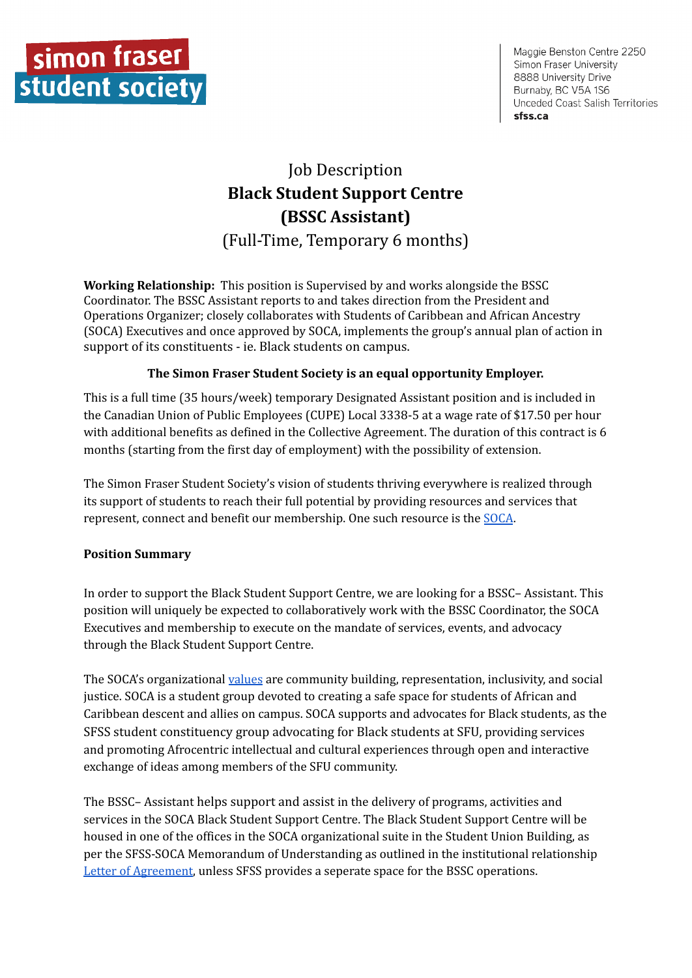

Maggie Benston Centre 2250 Simon Fraser University 8888 University Drive Burnaby, BC V5A 1S6 Unceded Coast Salish Territories sfss.ca

# Job Description **Black Student Support Centre (BSSC Assistant)** (Full-Time, Temporary 6 months)

**Working Relationship:** This position is Supervised by and works alongside the BSSC Coordinator. The BSSC Assistant reports to and takes direction from the President and Operations Organizer; closely collaborates with Students of Caribbean and African Ancestry (SOCA) Executives and once approved by SOCA, implements the group's annual plan of action in support of its constituents - ie. Black students on campus.

## **The Simon Fraser Student Society is an equal opportunity Employer.**

This is a full time (35 hours/week) temporary Designated Assistant position and is included in the Canadian Union of Public Employees (CUPE) Local 3338-5 at a wage rate of \$17.50 per hour with additional benefits as defined in the Collective Agreement. The duration of this contract is 6 months (starting from the first day of employment) with the possibility of extension.

The Simon Fraser Student Society's vision of students thriving everywhere is realized through its support of students to reach their full potential by providing resources and services that represent, connect and benefit our membership. One such resource is the [SOCA](https://www.sfusoca.ca/).

### **Position Summary**

In order to support the Black Student Support Centre, we are looking for a BSSC– Assistant. This position will uniquely be expected to collaboratively work with the BSSC Coordinator, the SOCA Executives and membership to execute on the mandate of services, events, and advocacy through the Black Student Support Centre.

The SOCA's organizational [values](https://www.sfusoca.ca/uploads/1/1/8/5/118513699/soca_constituion_approved_mar_2019.pdf) are community building, representation, inclusivity, and social justice. SOCA is a student group devoted to creating a safe space for students of African and Caribbean descent and allies on campus. SOCA supports and advocates for Black students, as the SFSS student constituency group advocating for Black students at SFU, providing services and promoting Afrocentric intellectual and cultural experiences through open and interactive exchange of ideas among members of the SFU community.

The BSSC– Assistant helps support and assist in the delivery of programs, activities and services in the SOCA Black Student Support Centre. The Black Student Support Centre will be housed in one of the offices in the SOCA organizational suite in the Student Union Building, as per the SFSS-SOCA Memorandum of Understanding as outlined in the institutional relationship Letter of [Agreement](https://www.sfusoca.ca/uploads/1/1/8/5/118513699/copy_of_soca-sfss_institutional_relationship_and_space_allocation_agreement_signed.pdf), unless SFSS provides a seperate space for the BSSC operations.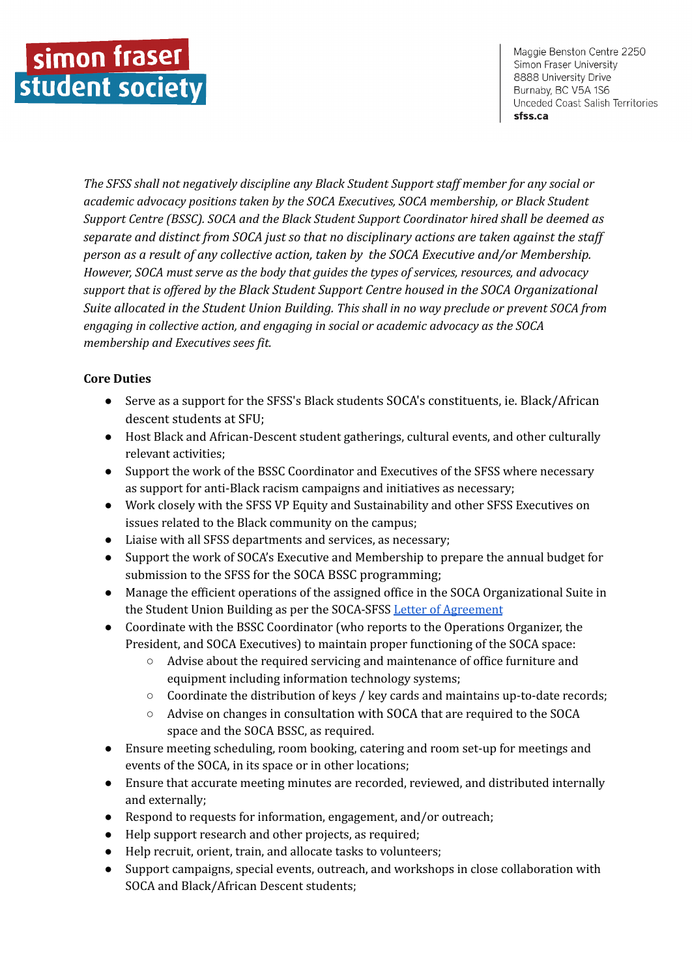Maggie Benston Centre 2250 Simon Fraser University 8888 University Drive Burnaby, BC V5A 1S6 Unceded Coast Salish Territories sfss.ca

*The SFSS shall not negatively discipline any Black Student Support staf member for any social or academic advocacy positions taken by the SOCA Executives, SOCA membership, or Black Student Support Centre (BSSC). SOCA and the Black Student Support Coordinator hired shall be deemed as separate and distinct from SOCA just so that no disciplinary actions are taken against the staf person as a result of any collective action, taken by the SOCA Executive and/or Membership. However, SOCA must serve as the body that guides the types of services, resources, and advocacy support that is of ered by the Black Student Support Centre housed in the SOCA Organizational Suite allocated in the Student Union Building. This shall in no way preclude or prevent SOCA from engaging in collective action, and engaging in social or academic advocacy as the SOCA membership and Executives sees fit.*

## **Core Duties**

- Serve as a support for the SFSS's Black students SOCA's constituents, ie. Black/African descent students at SFU;
- Host Black and African-Descent student gatherings, cultural events, and other culturally relevant activities;
- Support the work of the BSSC Coordinator and Executives of the SFSS where necessary as support for anti-Black racism campaigns and initiatives as necessary;
- Work closely with the SFSS VP Equity and Sustainability and other SFSS Executives on issues related to the Black community on the campus;
- Liaise with all SFSS departments and services, as necessary;
- Support the work of SOCA's Executive and Membership to prepare the annual budget for submission to the SFSS for the SOCA BSSC programming;
- Manage the efficient operations of the assigned office in the SOCA Organizational Suite in the Student Union Building as per the SOCA-SFSS Letter of [Agreement](https://www.sfusoca.ca/uploads/1/1/8/5/118513699/copy_of_soca-sfss_institutional_relationship_and_space_allocation_agreement_signed.pdf)
- Coordinate with the BSSC Coordinator (who reports to the Operations Organizer, the President, and SOCA Executives) to maintain proper functioning of the SOCA space:
	- Advise about the required servicing and maintenance of office furniture and equipment including information technology systems;
	- Coordinate the distribution of keys / key cards and maintains up-to-date records;
	- Advise on changes in consultation with SOCA that are required to the SOCA space and the SOCA BSSC, as required.
- Ensure meeting scheduling, room booking, catering and room set-up for meetings and events of the SOCA, in its space or in other locations;
- Ensure that accurate meeting minutes are recorded, reviewed, and distributed internally and externally;
- Respond to requests for information, engagement, and/or outreach;
- Help support research and other projects, as required;
- Help recruit, orient, train, and allocate tasks to volunteers;
- Support campaigns, special events, outreach, and workshops in close collaboration with SOCA and Black/African Descent students;